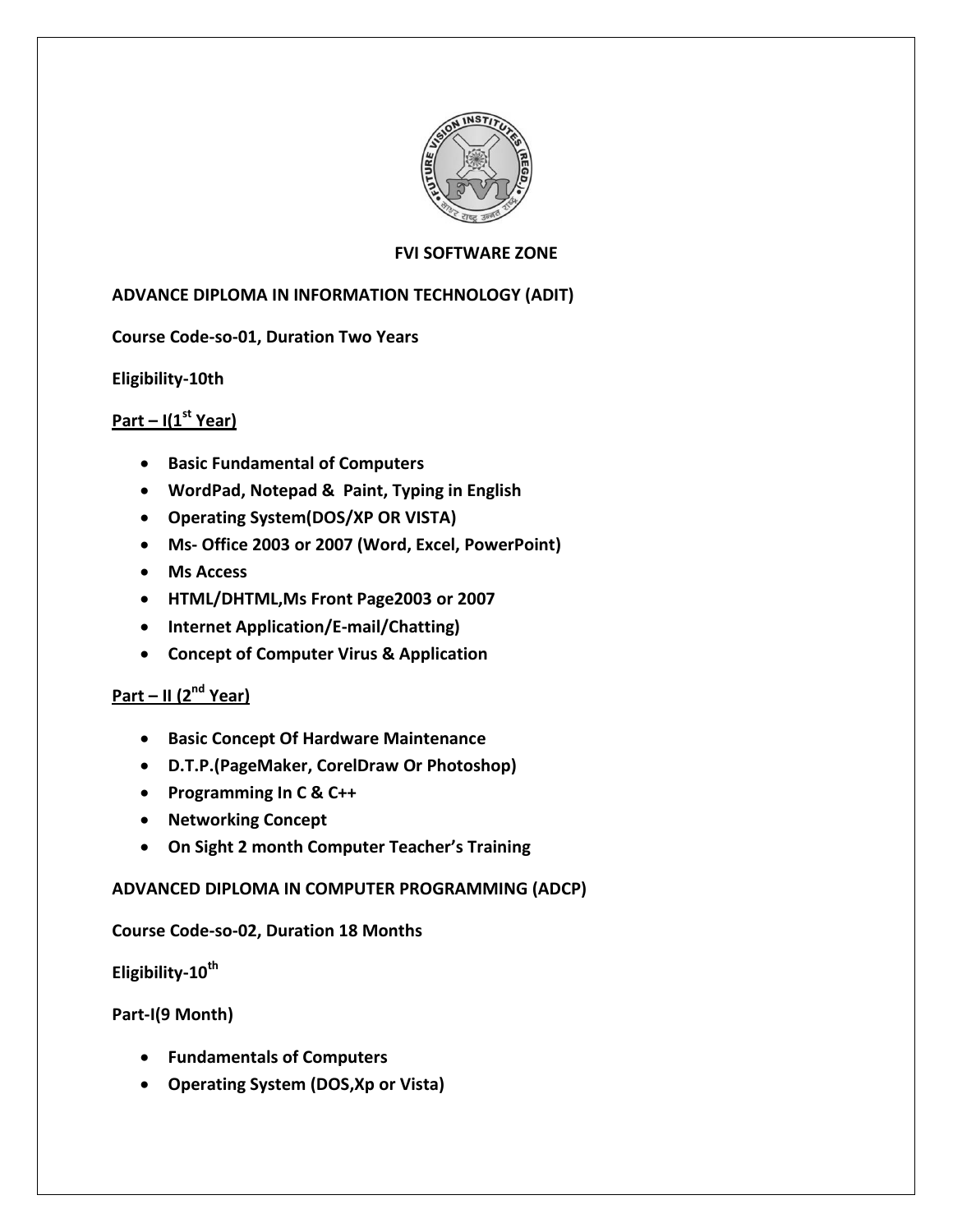

## **FVI SOFTWARE ZONE**

## **ADVANCE DIPLOMA IN INFORMATION TECHNOLOGY (ADIT)**

## **Course Code-so-01, Duration Two Years**

**Eligibility-10th** 

# **Part – I(1st Year)**

- **Basic Fundamental of Computers**
- **WordPad, Notepad & Paint, Typing in English**
- **Operating System(DOS/XP OR VISTA)**
- **Ms- Office 2003 or 2007 (Word, Excel, PowerPoint)**
- **Ms Access**
- **HTML/DHTML,Ms Front Page2003 or 2007**
- **Internet Application/E-mail/Chatting)**
- **Concept of Computer Virus & Application**

# **Part – II (2 nd Year)**

- **Basic Concept Of Hardware Maintenance**
- **D.T.P.(PageMaker, CorelDraw Or Photoshop)**
- **Programming In C & C++**
- **Networking Concept**
- **On Sight 2 month Computer Teacher's Training**

#### **ADVANCED DIPLOMA IN COMPUTER PROGRAMMING (ADCP)**

#### **Course Code-so-02, Duration 18 Months**

**Eligibility-10th**

#### **Part-I(9 Month)**

- **Fundamentals of Computers**
- **Operating System (DOS,Xp or Vista)**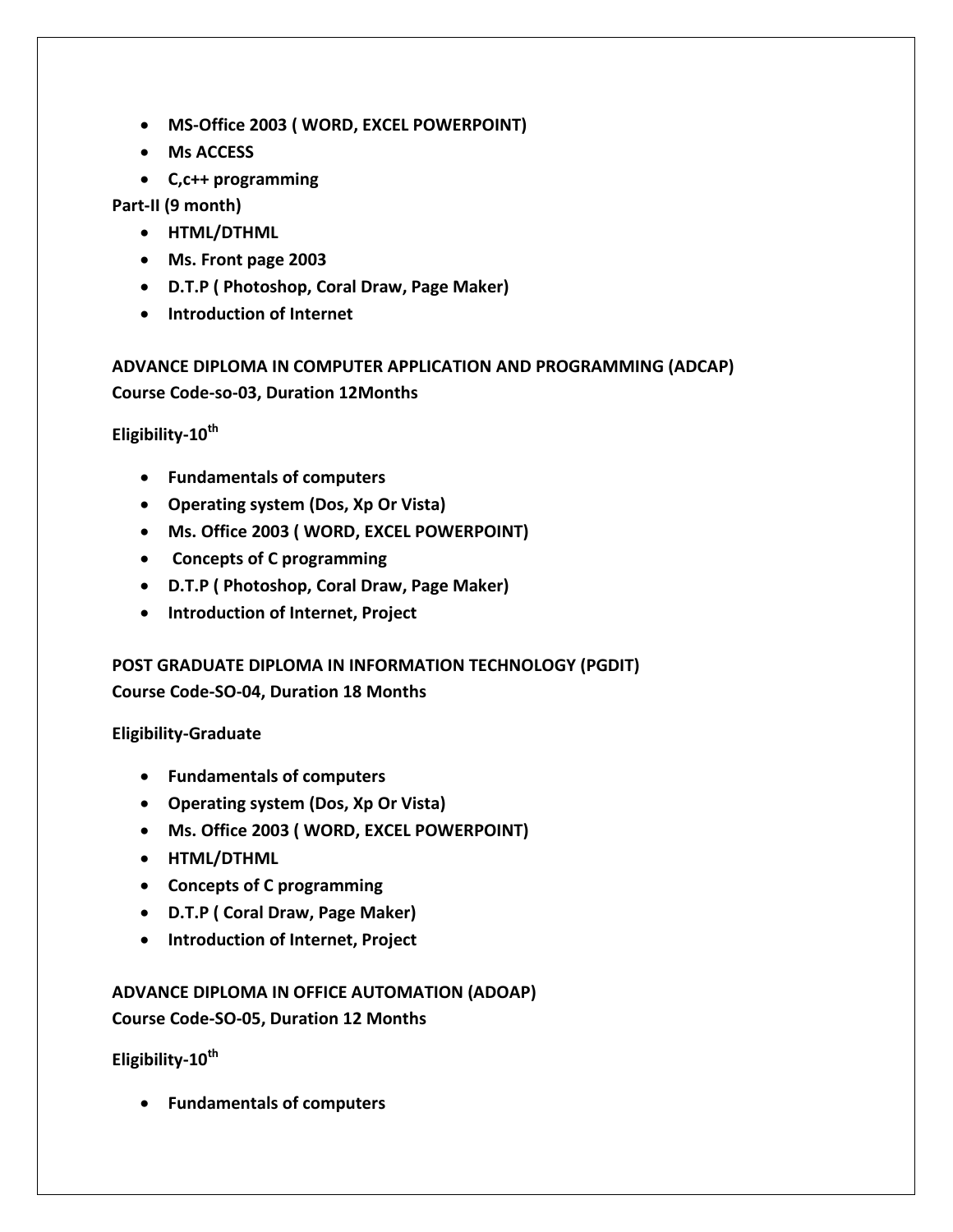- **MS-Office 2003 ( WORD, EXCEL POWERPOINT)**
- **Ms ACCESS**
- **C,c++ programming**

**Part-II (9 month)**

- **HTML/DTHML**
- **Ms. Front page 2003**
- **D.T.P ( Photoshop, Coral Draw, Page Maker)**
- **Introduction of Internet**

**ADVANCE DIPLOMA IN COMPUTER APPLICATION AND PROGRAMMING (ADCAP) Course Code-so-03, Duration 12Months**

**Eligibility-10th** 

- **Fundamentals of computers**
- **Operating system (Dos, Xp Or Vista)**
- **Ms. Office 2003 ( WORD, EXCEL POWERPOINT)**
- **Concepts of C programming**
- **D.T.P ( Photoshop, Coral Draw, Page Maker)**
- **Introduction of Internet, Project**

**POST GRADUATE DIPLOMA IN INFORMATION TECHNOLOGY (PGDIT) Course Code-SO-04, Duration 18 Months**

**Eligibility-Graduate** 

- **Fundamentals of computers**
- **Operating system (Dos, Xp Or Vista)**
- **Ms. Office 2003 ( WORD, EXCEL POWERPOINT)**
- **HTML/DTHML**
- **Concepts of C programming**
- **D.T.P ( Coral Draw, Page Maker)**
- **Introduction of Internet, Project**

# **ADVANCE DIPLOMA IN OFFICE AUTOMATION (ADOAP) Course Code-SO-05, Duration 12 Months**

**Eligibility-10th** 

**Fundamentals of computers**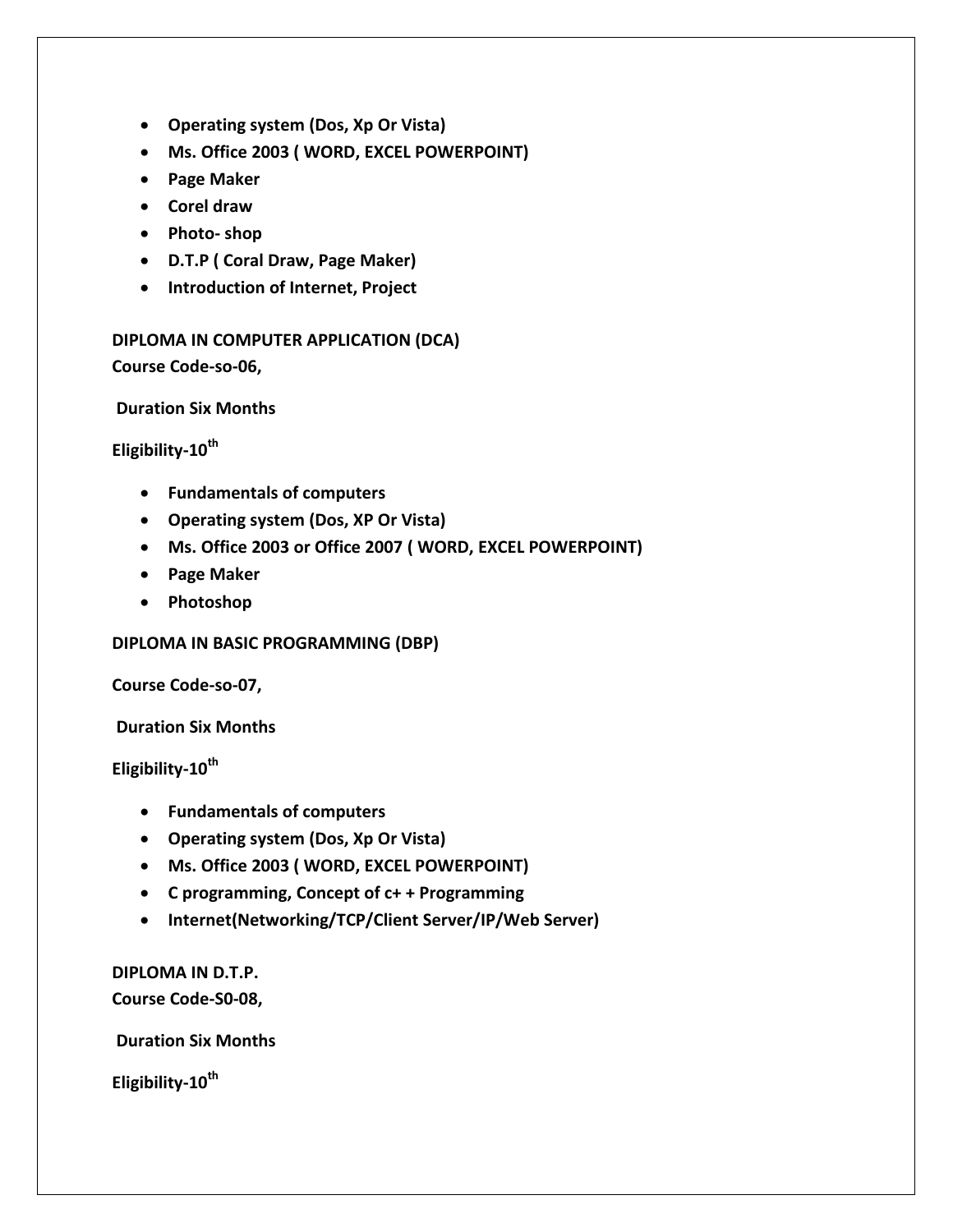- **Operating system (Dos, Xp Or Vista)**
- **Ms. Office 2003 ( WORD, EXCEL POWERPOINT)**
- **Page Maker**
- **Corel draw**
- **Photo- shop**
- **D.T.P ( Coral Draw, Page Maker)**
- **Introduction of Internet, Project**

**DIPLOMA IN COMPUTER APPLICATION (DCA) Course Code-so-06,**

**Duration Six Months**

**Eligibility-10th** 

- **Fundamentals of computers**
- **Operating system (Dos, XP Or Vista)**
- **Ms. Office 2003 or Office 2007 ( WORD, EXCEL POWERPOINT)**
- **Page Maker**
- **Photoshop**

**DIPLOMA IN BASIC PROGRAMMING (DBP)**

**Course Code-so-07,**

**Duration Six Months**

**Eligibility-10th** 

- **Fundamentals of computers**
- **Operating system (Dos, Xp Or Vista)**
- **Ms. Office 2003 ( WORD, EXCEL POWERPOINT)**
- **C programming, Concept of c+ + Programming**
- **Internet(Networking/TCP/Client Server/IP/Web Server)**

**DIPLOMA IN D.T.P. Course Code-S0-08,**

**Duration Six Months**

**Eligibility-10th**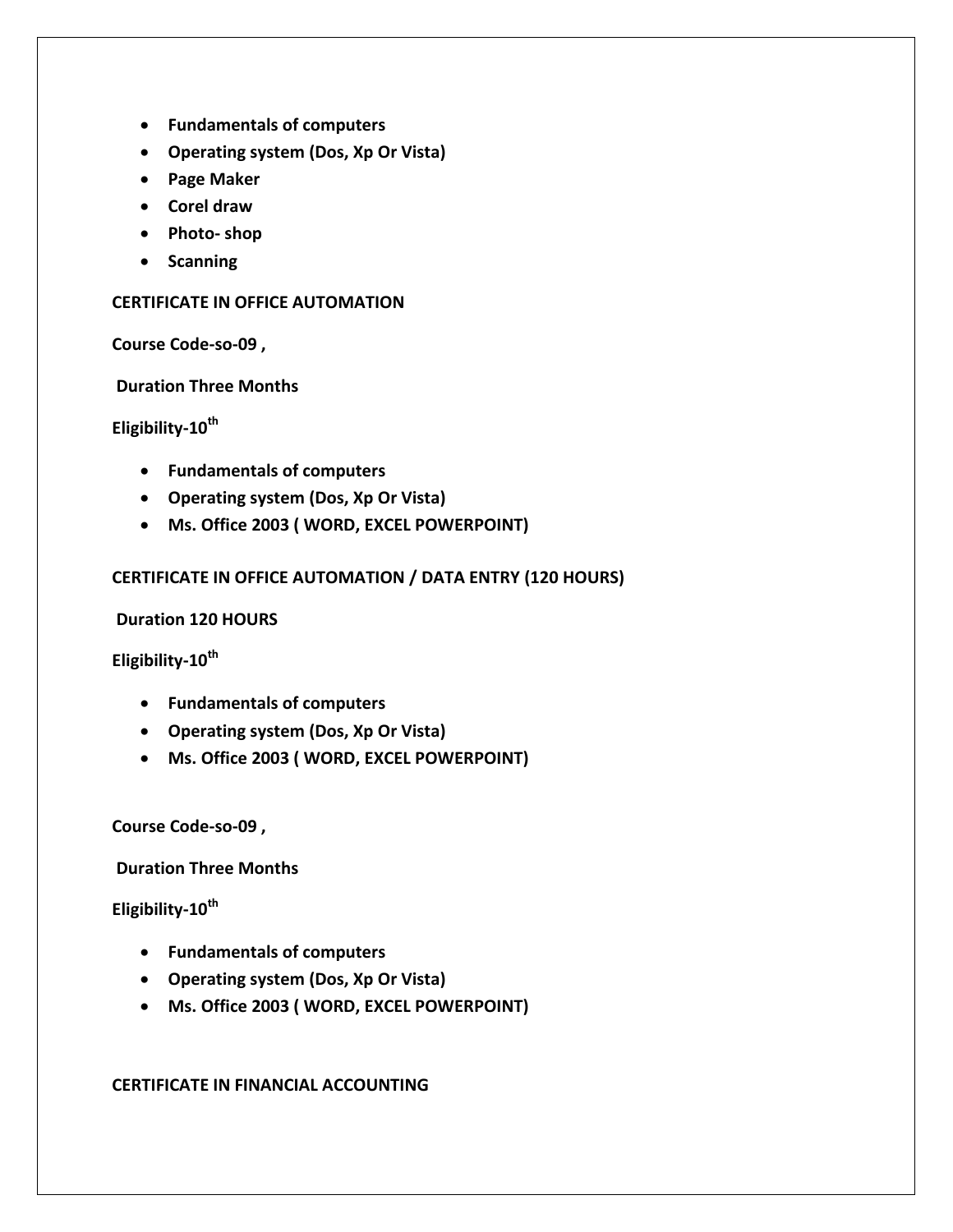- **Fundamentals of computers**
- **Operating system (Dos, Xp Or Vista)**
- **Page Maker**
- **Corel draw**
- **Photo- shop**
- **•** Scanning

#### **CERTIFICATE IN OFFICE AUTOMATION**

**Course Code-so-09 ,**

**Duration Three Months**

**Eligibility-10th** 

- **Fundamentals of computers**
- **Operating system (Dos, Xp Or Vista)**
- **Ms. Office 2003 ( WORD, EXCEL POWERPOINT)**

## **CERTIFICATE IN OFFICE AUTOMATION / DATA ENTRY (120 HOURS)**

**Duration 120 HOURS**

**Eligibility-10th** 

- **Fundamentals of computers**
- **Operating system (Dos, Xp Or Vista)**
- **Ms. Office 2003 ( WORD, EXCEL POWERPOINT)**

**Course Code-so-09 ,**

**Duration Three Months**

**Eligibility-10th** 

- **Fundamentals of computers**
- **Operating system (Dos, Xp Or Vista)**
- **Ms. Office 2003 ( WORD, EXCEL POWERPOINT)**

**CERTIFICATE IN FINANCIAL ACCOUNTING**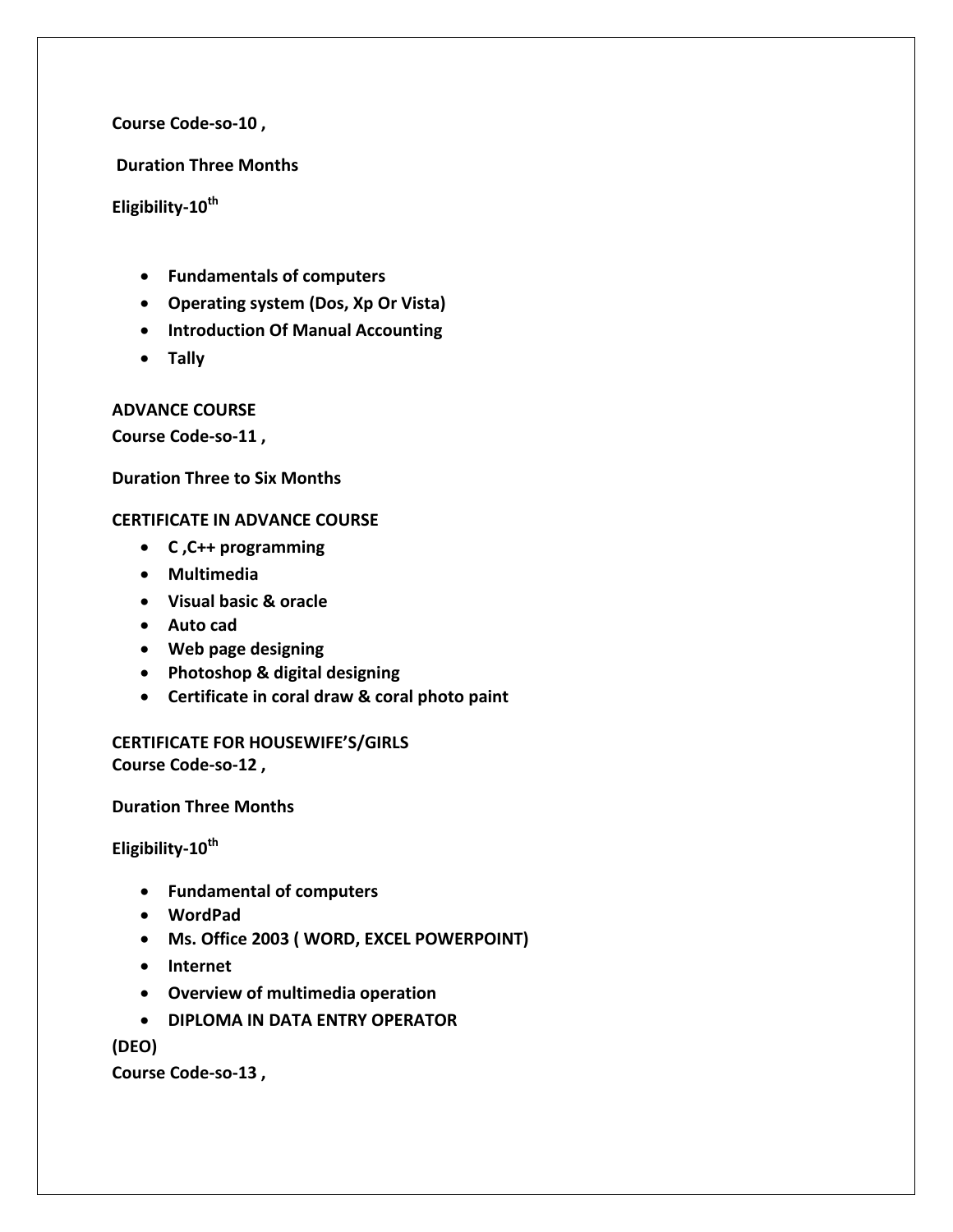**Course Code-so-10 ,**

**Duration Three Months**

**Eligibility-10th** 

- **Fundamentals of computers**
- **Operating system (Dos, Xp Or Vista)**
- **Introduction Of Manual Accounting**
- **Tally**

**ADVANCE COURSE**

**Course Code-so-11 ,** 

**Duration Three to Six Months**

#### **CERTIFICATE IN ADVANCE COURSE**

- **C ,C++ programming**
- **Multimedia**
- **Visual basic & oracle**
- **Auto cad**
- **Web page designing**
- **Photoshop & digital designing**
- **Certificate in coral draw & coral photo paint**

**CERTIFICATE FOR HOUSEWIFE'S/GIRLS Course Code-so-12 ,** 

**Duration Three Months**

**Eligibility-10th** 

- **Fundamental of computers**
- **WordPad**
- **Ms. Office 2003 ( WORD, EXCEL POWERPOINT)**
- **Internet**
- **Overview of multimedia operation**
- **DIPLOMA IN DATA ENTRY OPERATOR**

**(DEO)**

**Course Code-so-13 ,**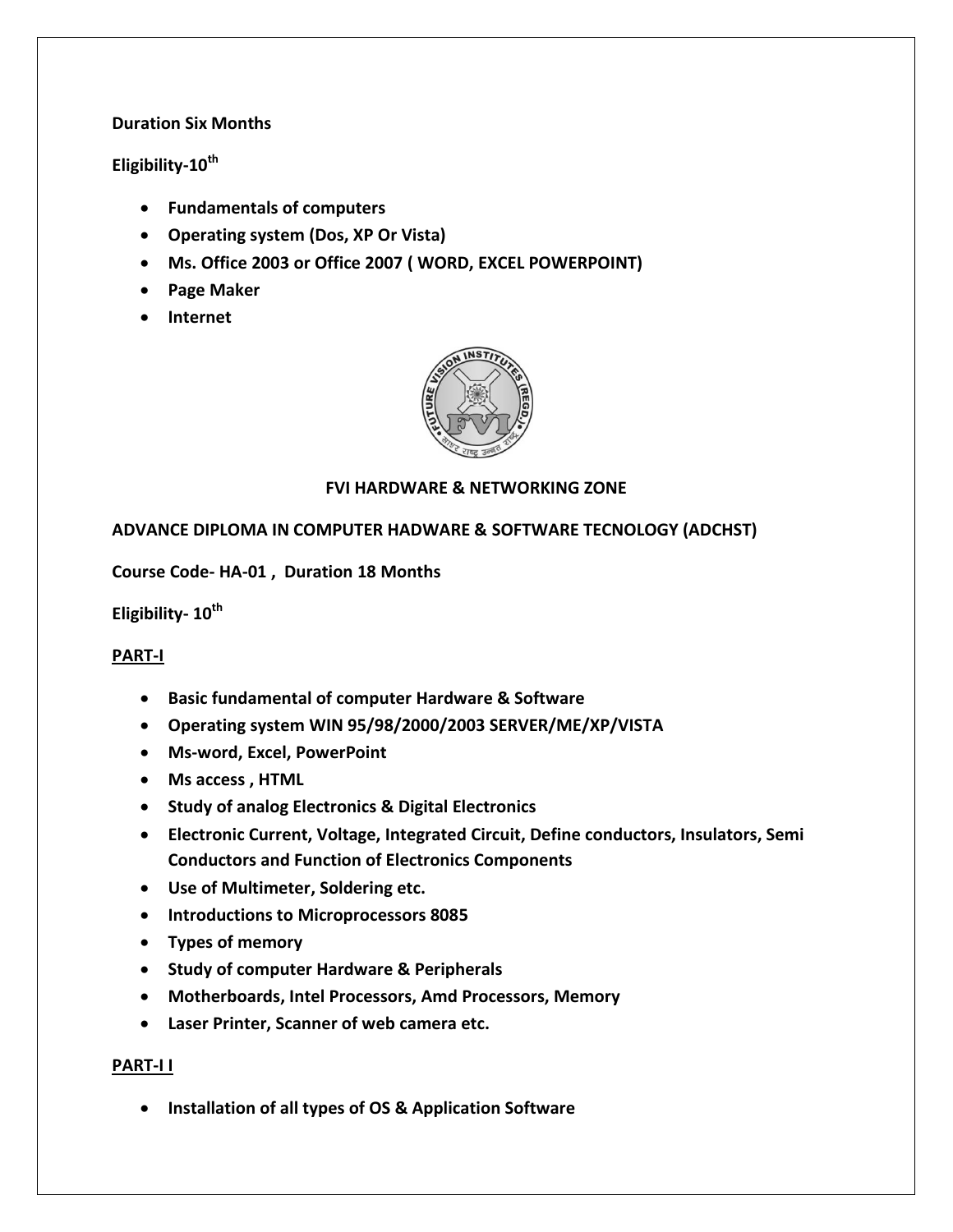## **Duration Six Months**

# **Eligibility-10th**

- **Fundamentals of computers**
- **Operating system (Dos, XP Or Vista)**
- **Ms. Office 2003 or Office 2007 ( WORD, EXCEL POWERPOINT)**
- **Page Maker**
- **Internet**



## **FVI HARDWARE & NETWORKING ZONE**

## **ADVANCE DIPLOMA IN COMPUTER HADWARE & SOFTWARE TECNOLOGY (ADCHST)**

**Course Code- HA-01 , Duration 18 Months**

**Eligibility- 10th** 

## **PART-I**

- **Basic fundamental of computer Hardware & Software**
- **Operating system WIN 95/98/2000/2003 SERVER/ME/XP/VISTA**
- **Ms-word, Excel, PowerPoint**
- **Ms access , HTML**
- **Study of analog Electronics & Digital Electronics**
- **Electronic Current, Voltage, Integrated Circuit, Define conductors, Insulators, Semi Conductors and Function of Electronics Components**
- **Use of Multimeter, Soldering etc.**
- **Introductions to Microprocessors 8085**
- **Types of memory**
- **Study of computer Hardware & Peripherals**
- **Motherboards, Intel Processors, Amd Processors, Memory**
- **Laser Printer, Scanner of web camera etc.**

#### **PART-I I**

**Installation of all types of OS & Application Software**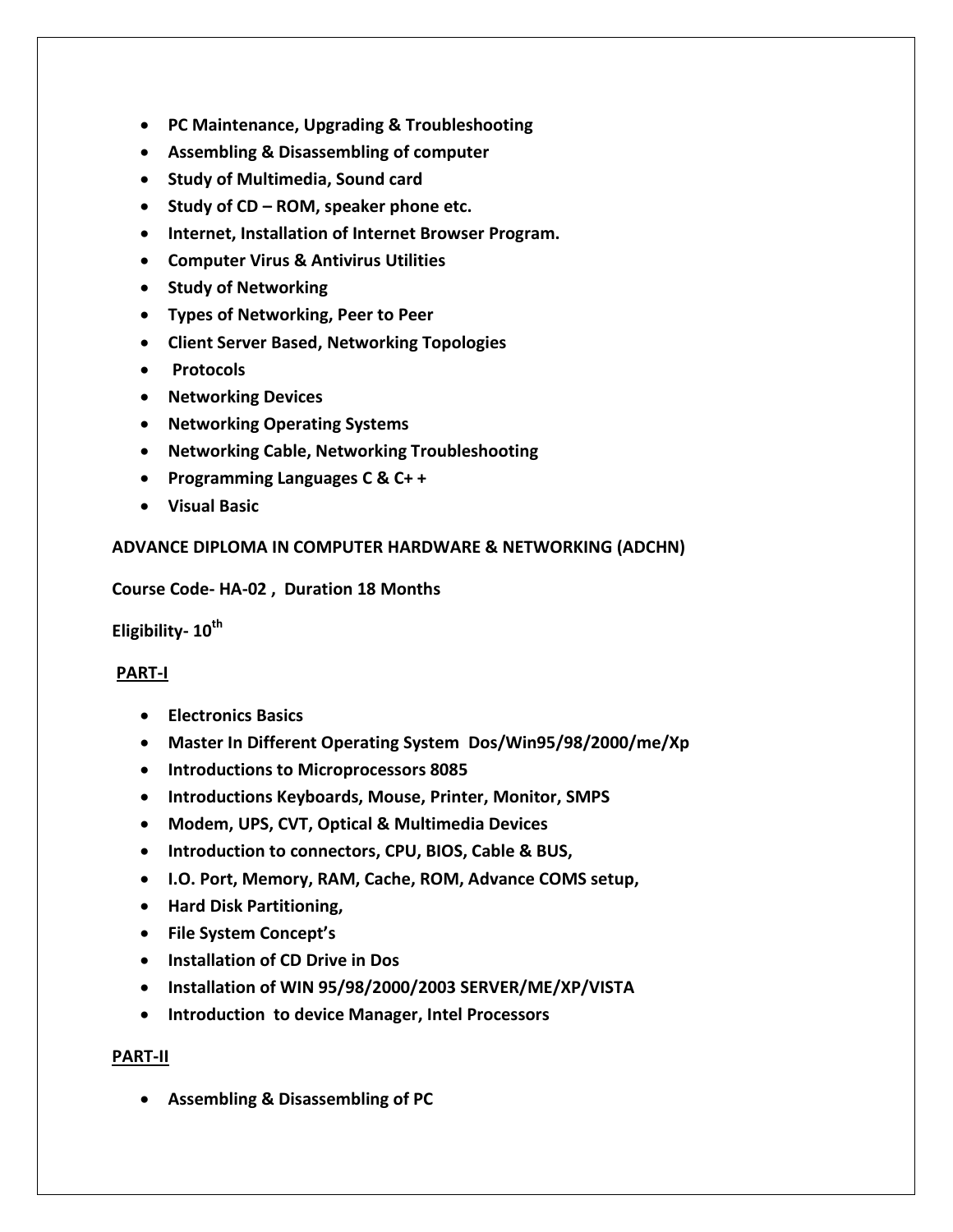- **PC Maintenance, Upgrading & Troubleshooting**
- **Assembling & Disassembling of computer**
- **Study of Multimedia, Sound card**
- **Study of CD – ROM, speaker phone etc.**
- **Internet, Installation of Internet Browser Program.**
- **Computer Virus & Antivirus Utilities**
- **•** Study of Networking
- **Types of Networking, Peer to Peer**
- **Client Server Based, Networking Topologies**
- **Protocols**
- **Networking Devices**
- **Networking Operating Systems**
- **Networking Cable, Networking Troubleshooting**
- **Programming Languages C & C+ +**
- **Visual Basic**

## **ADVANCE DIPLOMA IN COMPUTER HARDWARE & NETWORKING (ADCHN)**

#### **Course Code- HA-02 , Duration 18 Months**

**Eligibility- 10th** 

#### **PART-I**

- **Electronics Basics**
- **Master In Different Operating System Dos/Win95/98/2000/me/Xp**
- **Introductions to Microprocessors 8085**
- **Introductions Keyboards, Mouse, Printer, Monitor, SMPS**
- **Modem, UPS, CVT, Optical & Multimedia Devices**
- **Introduction to connectors, CPU, BIOS, Cable & BUS,**
- **I.O. Port, Memory, RAM, Cache, ROM, Advance COMS setup,**
- **Hard Disk Partitioning,**
- **File System Concept's**
- **Installation of CD Drive in Dos**
- **Installation of WIN 95/98/2000/2003 SERVER/ME/XP/VISTA**
- **Introduction to device Manager, Intel Processors**

#### **PART-II**

**Assembling & Disassembling of PC**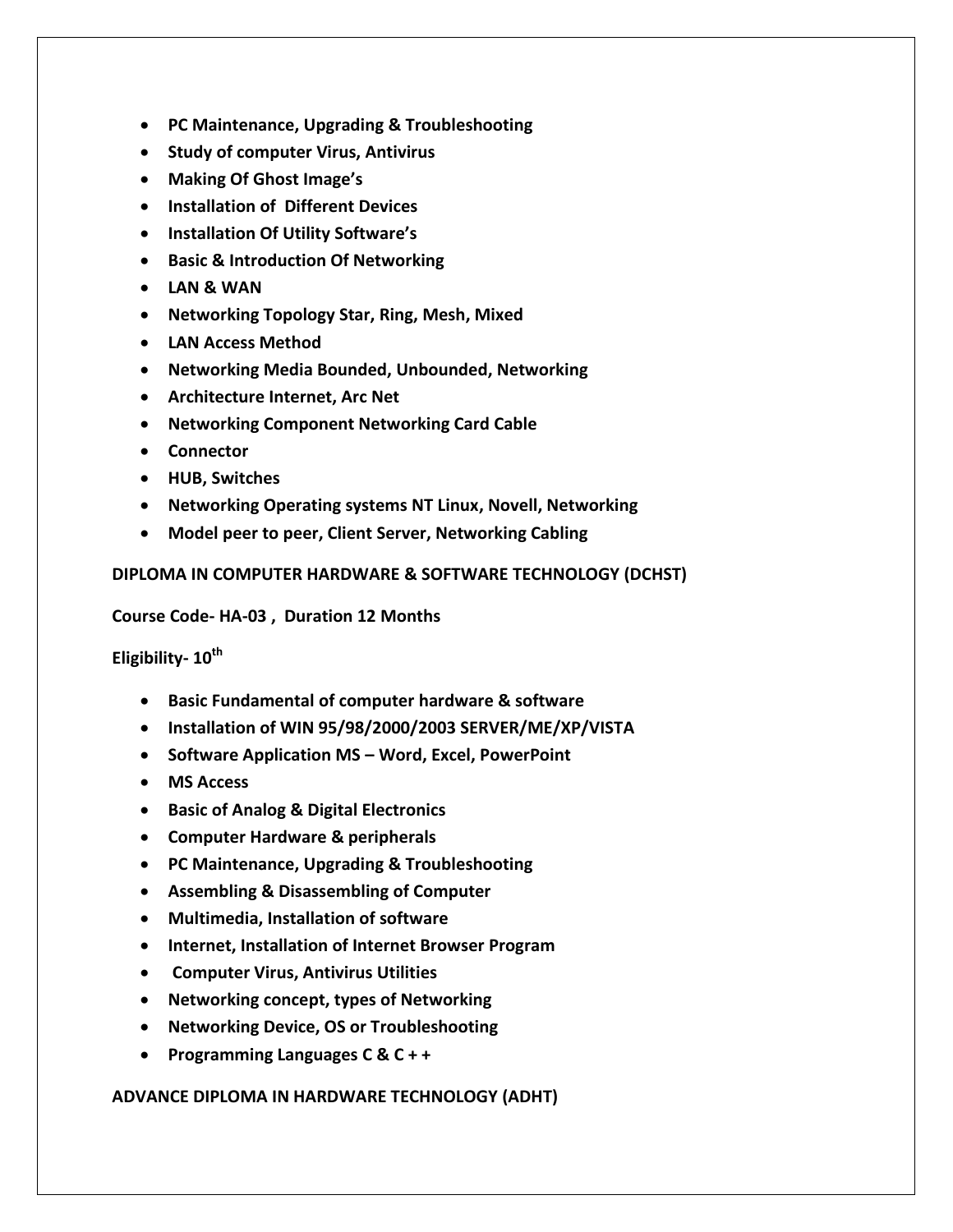- **PC Maintenance, Upgrading & Troubleshooting**
- **Study of computer Virus, Antivirus**
- **Making Of Ghost Image's**
- **Installation of Different Devices**
- **Installation Of Utility Software's**
- **Basic & Introduction Of Networking**
- **LAN & WAN**
- **Networking Topology Star, Ring, Mesh, Mixed**
- **LAN Access Method**
- **Networking Media Bounded, Unbounded, Networking**
- **Architecture Internet, Arc Net**
- **Networking Component Networking Card Cable**
- **Connector**
- **HUB, Switches**
- **Networking Operating systems NT Linux, Novell, Networking**
- **Model peer to peer, Client Server, Networking Cabling**

**DIPLOMA IN COMPUTER HARDWARE & SOFTWARE TECHNOLOGY (DCHST)**

**Course Code- HA-03 , Duration 12 Months**

**Eligibility- 10th** 

- **Basic Fundamental of computer hardware & software**
- **Installation of WIN 95/98/2000/2003 SERVER/ME/XP/VISTA**
- **Software Application MS – Word, Excel, PowerPoint**
- **MS Access**
- **Basic of Analog & Digital Electronics**
- **Computer Hardware & peripherals**
- **PC Maintenance, Upgrading & Troubleshooting**
- **Assembling & Disassembling of Computer**
- **Multimedia, Installation of software**
- **Internet, Installation of Internet Browser Program**
- **Computer Virus, Antivirus Utilities**
- **Networking concept, types of Networking**
- **Networking Device, OS or Troubleshooting**
- **Programming Languages C & C + +**

**ADVANCE DIPLOMA IN HARDWARE TECHNOLOGY (ADHT)**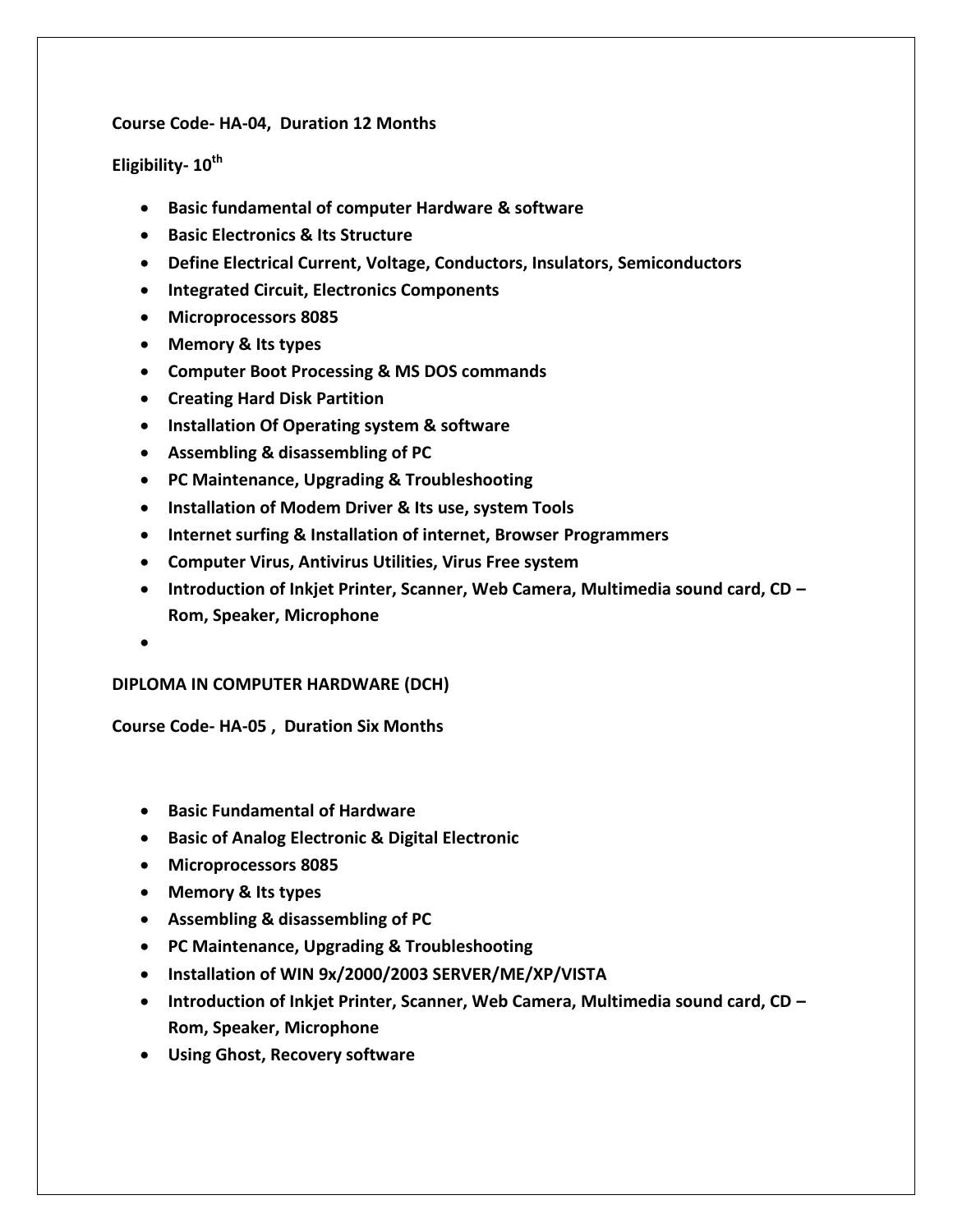#### **Course Code- HA-04, Duration 12 Months**

### **Eligibility- 10th**

- **Basic fundamental of computer Hardware & software**
- **Basic Electronics & Its Structure**
- **Define Electrical Current, Voltage, Conductors, Insulators, Semiconductors**
- **Integrated Circuit, Electronics Components**
- **Microprocessors 8085**
- **Memory & Its types**
- **Computer Boot Processing & MS DOS commands**
- **Creating Hard Disk Partition**
- **Installation Of Operating system & software**
- **Assembling & disassembling of PC**
- **PC Maintenance, Upgrading & Troubleshooting**
- **Installation of Modem Driver & Its use, system Tools**
- **Internet surfing & Installation of internet, Browser Programmers**
- **Computer Virus, Antivirus Utilities, Virus Free system**
- **Introduction of Inkjet Printer, Scanner, Web Camera, Multimedia sound card, CD – Rom, Speaker, Microphone**
- $\bullet$

#### **DIPLOMA IN COMPUTER HARDWARE (DCH)**

**Course Code- HA-05 , Duration Six Months**

- **Basic Fundamental of Hardware**
- **Basic of Analog Electronic & Digital Electronic**
- **Microprocessors 8085**
- **Memory & Its types**
- **Assembling & disassembling of PC**
- **PC Maintenance, Upgrading & Troubleshooting**
- **Installation of WIN 9x/2000/2003 SERVER/ME/XP/VISTA**
- **Introduction of Inkjet Printer, Scanner, Web Camera, Multimedia sound card, CD – Rom, Speaker, Microphone**
- **Using Ghost, Recovery software**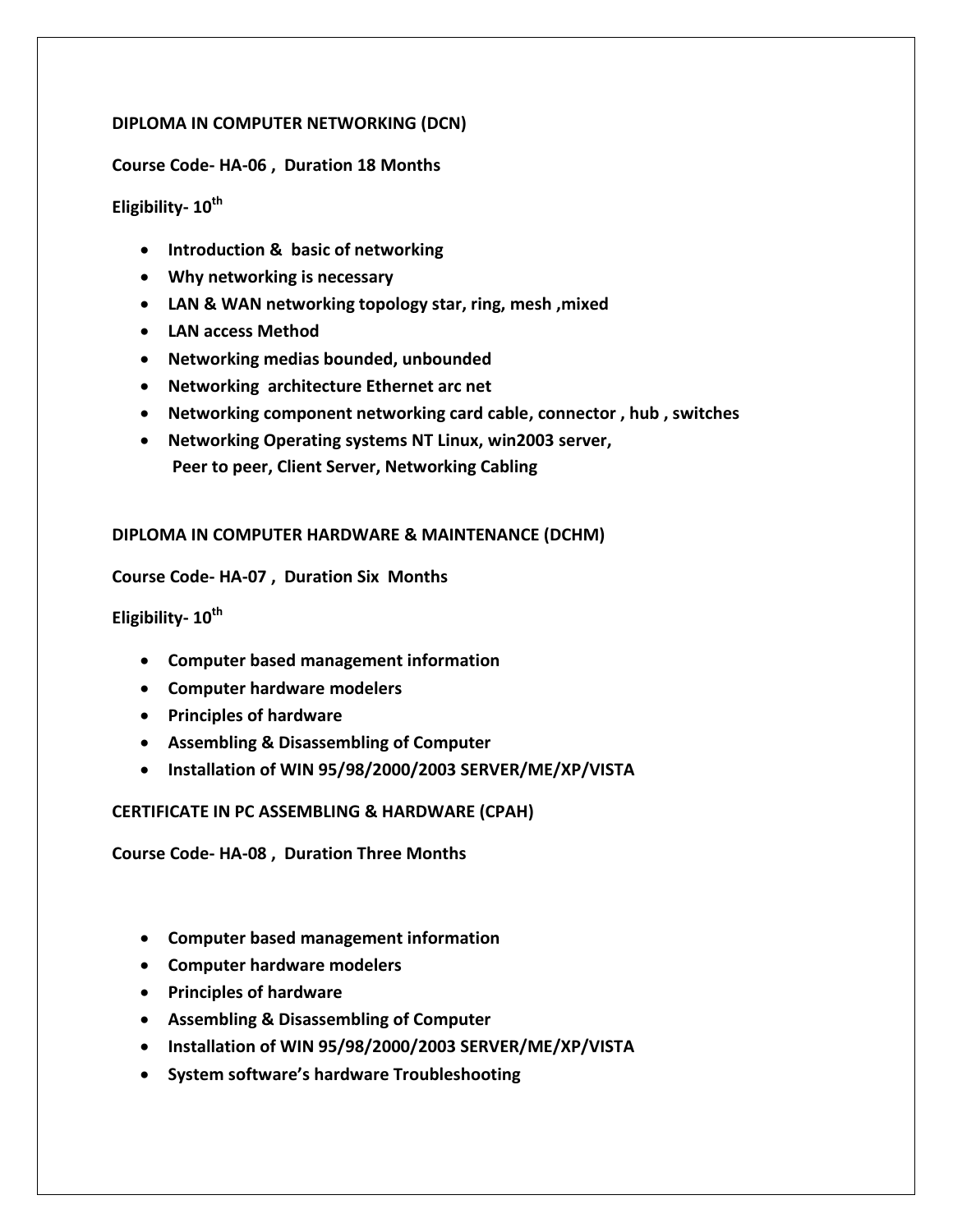### **DIPLOMA IN COMPUTER NETWORKING (DCN)**

#### **Course Code- HA-06 , Duration 18 Months**

# **Eligibility- 10 th**

- **Introduction & basic of networking**
- **Why networking is necessary**
- **LAN & WAN networking topology star, ring, mesh ,mixed**
- **LAN access Method**
- **Networking medias bounded, unbounded**
- **Networking architecture Ethernet arc net**
- **Networking component networking card cable, connector , hub , switches**
- **Networking Operating systems NT Linux, win2003 server, Peer to peer, Client Server, Networking Cabling**

#### **DIPLOMA IN COMPUTER HARDWARE & MAINTENANCE (DCHM)**

#### **Course Code- HA-07 , Duration Six Months**

### **Eligibility- 10th**

- **Computer based management information**
- **Computer hardware modelers**
- **Principles of hardware**
- **Assembling & Disassembling of Computer**
- **Installation of WIN 95/98/2000/2003 SERVER/ME/XP/VISTA**

#### **CERTIFICATE IN PC ASSEMBLING & HARDWARE (CPAH)**

**Course Code- HA-08 , Duration Three Months**

- **Computer based management information**
- **Computer hardware modelers**
- **Principles of hardware**
- **Assembling & Disassembling of Computer**
- **Installation of WIN 95/98/2000/2003 SERVER/ME/XP/VISTA**
- **System software's hardware Troubleshooting**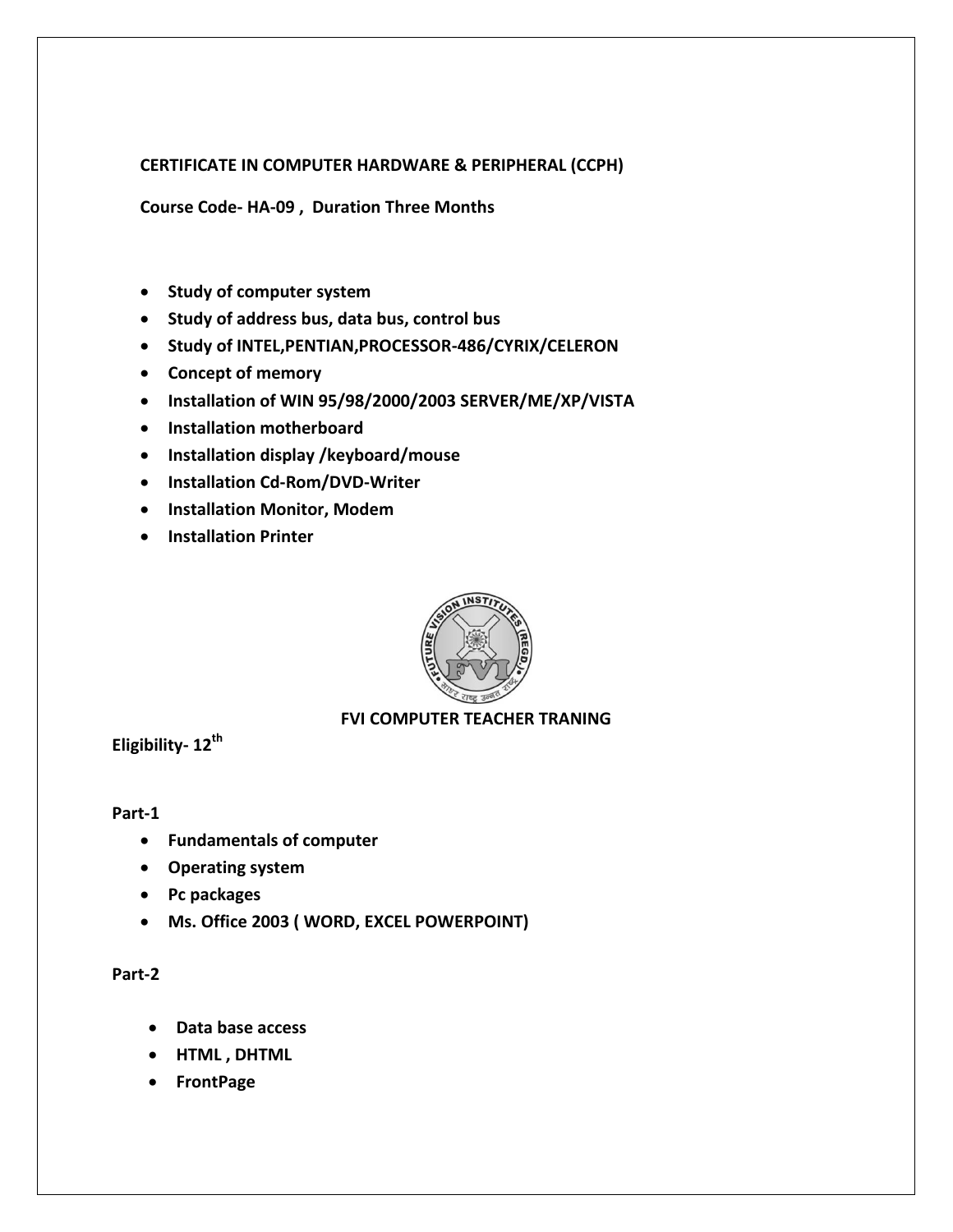#### **CERTIFICATE IN COMPUTER HARDWARE & PERIPHERAL (CCPH)**

**Course Code- HA-09 , Duration Three Months**

- **•** Study of computer system
- **Study of address bus, data bus, control bus**
- **Study of INTEL,PENTIAN,PROCESSOR-486/CYRIX/CELERON**
- **Concept of memory**
- **Installation of WIN 95/98/2000/2003 SERVER/ME/XP/VISTA**
- **Installation motherboard**
- **Installation display /keyboard/mouse**
- **Installation Cd-Rom/DVD-Writer**
- **Installation Monitor, Modem**
- **Installation Printer**



#### **FVI COMPUTER TEACHER TRANING**

**Eligibility- 12th** 

#### **Part-1**

- **Fundamentals of computer**
- **Operating system**
- **Pc packages**
- **Ms. Office 2003 ( WORD, EXCEL POWERPOINT)**

#### **Part-2**

- **Data base access**
- **HTML , DHTML**
- **FrontPage**